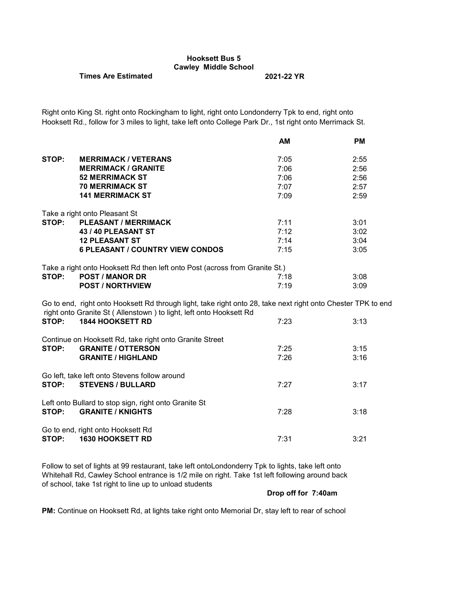# **Hooksett Bus 5 Cawley Middle School**

## **Times Are Estimated 2021-22 YR**

Right onto King St. right onto Rockingham to light, right onto Londonderry Tpk to end, right onto Hooksett Rd., follow for 3 miles to light, take left onto College Park Dr., 1st right onto Merrimack St.

|       |                                                                                                                                                                                    | <b>AM</b> | <b>PM</b> |
|-------|------------------------------------------------------------------------------------------------------------------------------------------------------------------------------------|-----------|-----------|
| STOP: | <b>MERRIMACK / VETERANS</b>                                                                                                                                                        | 7:05      | 2:55      |
|       | <b>MERRIMACK / GRANITE</b>                                                                                                                                                         | 7:06      | 2:56      |
|       | <b>52 MERRIMACK ST</b>                                                                                                                                                             | 7:06      | 2:56      |
|       | <b>70 MERRIMACK ST</b>                                                                                                                                                             | 7:07      | 2:57      |
|       |                                                                                                                                                                                    |           |           |
|       | <b>141 MERRIMACK ST</b>                                                                                                                                                            | 7:09      | 2:59      |
|       | Take a right onto Pleasant St                                                                                                                                                      |           |           |
| STOP: | <b>PLEASANT / MERRIMACK</b>                                                                                                                                                        | 7:11      | 3:01      |
|       | 43 / 40 PLEASANT ST                                                                                                                                                                | 7:12      | 3:02      |
|       | <b>12 PLEASANT ST</b>                                                                                                                                                              | 7:14      | 3:04      |
|       | <b>6 PLEASANT / COUNTRY VIEW CONDOS</b>                                                                                                                                            | 7:15      | 3:05      |
|       |                                                                                                                                                                                    |           |           |
|       | Take a right onto Hooksett Rd then left onto Post (across from Granite St.)                                                                                                        |           |           |
| STOP: | <b>POST / MANOR DR</b>                                                                                                                                                             | 7:18      | 3:08      |
|       | <b>POST / NORTHVIEW</b>                                                                                                                                                            | 7:19      | 3:09      |
|       | Go to end, right onto Hooksett Rd through light, take right onto 28, take next right onto Chester TPK to end<br>right onto Granite St (Allenstown) to light, left onto Hooksett Rd |           |           |
| STOP: | <b>1844 HOOKSETT RD</b>                                                                                                                                                            | 7:23      | 3:13      |
|       | Continue on Hooksett Rd, take right onto Granite Street                                                                                                                            |           |           |
| STOP: | <b>GRANITE / OTTERSON</b>                                                                                                                                                          | 7:25      | 3:15      |
|       | <b>GRANITE / HIGHLAND</b>                                                                                                                                                          | 7:26      | 3:16      |
|       |                                                                                                                                                                                    |           |           |
|       | Go left, take left onto Stevens follow around                                                                                                                                      |           |           |
| STOP: | <b>STEVENS / BULLARD</b>                                                                                                                                                           | 7:27      | 3:17      |
|       |                                                                                                                                                                                    |           |           |
|       | Left onto Bullard to stop sign, right onto Granite St                                                                                                                              |           |           |
| STOP: | <b>GRANITE / KNIGHTS</b>                                                                                                                                                           | 7:28      | 3:18      |
|       |                                                                                                                                                                                    |           |           |
|       | Go to end, right onto Hooksett Rd                                                                                                                                                  |           |           |
| STOP: | <b>1630 HOOKSETT RD</b>                                                                                                                                                            | 7:31      | 3:21      |
|       |                                                                                                                                                                                    |           |           |

Follow to set of lights at 99 restaurant, take left ontoLondonderry Tpk to lights, take left onto Whitehall Rd, Cawley School entrance is 1/2 mile on right. Take 1st left following around back of school, take 1st right to line up to unload students

#### **Drop off for 7:40am**

**PM:** Continue on Hooksett Rd, at lights take right onto Memorial Dr, stay left to rear of school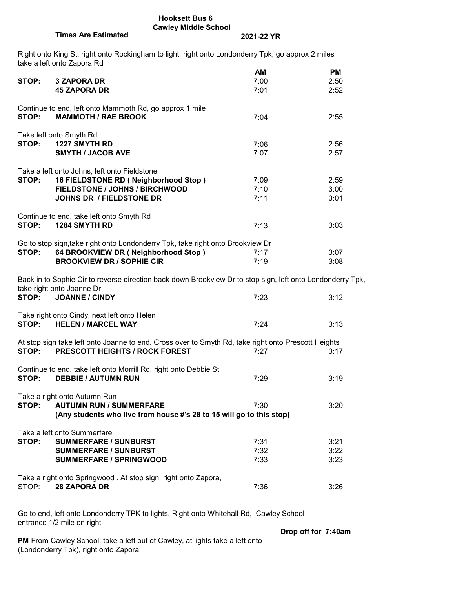### **Hooksett Bus 6 Cawley Middle School**

# **Times Are Estimated 2021-22 YR**

Right onto King St, right onto Rockingham to light, right onto Londonderry Tpk, go approx 2 miles take a left onto Zapora Rd

|                                                                |                                                                                                            | AM   | РM   |
|----------------------------------------------------------------|------------------------------------------------------------------------------------------------------------|------|------|
| STOP:                                                          | <b>3 ZAPORA DR</b>                                                                                         | 7:00 | 2:50 |
|                                                                | <b>45 ZAPORA DR</b>                                                                                        | 7:01 | 2:52 |
|                                                                |                                                                                                            |      |      |
|                                                                | Continue to end, left onto Mammoth Rd, go approx 1 mile                                                    |      |      |
|                                                                |                                                                                                            |      |      |
| STOP:                                                          | <b>MAMMOTH / RAE BROOK</b>                                                                                 | 7:04 | 2:55 |
|                                                                |                                                                                                            |      |      |
|                                                                | Take left onto Smyth Rd                                                                                    |      |      |
| STOP:                                                          | 1227 SMYTH RD                                                                                              | 7:06 | 2:56 |
|                                                                | <b>SMYTH / JACOB AVE</b>                                                                                   | 7:07 | 2:57 |
|                                                                |                                                                                                            |      |      |
|                                                                | Take a left onto Johns, left onto Fieldstone                                                               |      |      |
| STOP:                                                          | 16 FIELDSTONE RD (Neighborhood Stop)                                                                       | 7:09 | 2:59 |
|                                                                |                                                                                                            |      |      |
|                                                                | FIELDSTONE / JOHNS / BIRCHWOOD                                                                             | 7:10 | 3:00 |
|                                                                | <b>JOHNS DR / FIELDSTONE DR</b>                                                                            | 7:11 | 3:01 |
|                                                                |                                                                                                            |      |      |
|                                                                | Continue to end, take left onto Smyth Rd                                                                   |      |      |
| STOP:                                                          | 1284 SMYTH RD                                                                                              | 7:13 | 3:03 |
|                                                                |                                                                                                            |      |      |
|                                                                | Go to stop sign, take right onto Londonderry Tpk, take right onto Brookview Dr                             |      |      |
| STOP:                                                          | 64 BROOKVIEW DR (Neighborhood Stop)                                                                        | 7:17 | 3:07 |
|                                                                | <b>BROOKVIEW DR / SOPHIE CIR</b>                                                                           | 7:19 | 3:08 |
|                                                                |                                                                                                            |      |      |
|                                                                |                                                                                                            |      |      |
|                                                                | Back in to Sophie Cir to reverse direction back down Brookview Dr to stop sign, left onto Londonderry Tpk, |      |      |
|                                                                | take right onto Joanne Dr                                                                                  |      |      |
| STOP:                                                          | <b>JOANNE / CINDY</b>                                                                                      | 7:23 | 3:12 |
|                                                                |                                                                                                            |      |      |
|                                                                | Take right onto Cindy, next left onto Helen                                                                |      |      |
| STOP:                                                          | <b>HELEN / MARCEL WAY</b>                                                                                  | 7:24 | 3:13 |
|                                                                |                                                                                                            |      |      |
|                                                                | At stop sign take left onto Joanne to end. Cross over to Smyth Rd, take right onto Prescott Heights        |      |      |
|                                                                | STOP: PRESCOTT HEIGHTS / ROCK FOREST                                                                       | 7:27 | 3:17 |
|                                                                |                                                                                                            |      |      |
|                                                                |                                                                                                            |      |      |
|                                                                | Continue to end, take left onto Morrill Rd, right onto Debbie St                                           |      |      |
| STOP:                                                          | <b>DEBBIE / AUTUMN RUN</b>                                                                                 | 7:29 | 3:19 |
|                                                                |                                                                                                            |      |      |
|                                                                | Take a right onto Autumn Run                                                                               |      |      |
| STOP:                                                          | <b>AUTUMN RUN / SUMMERFARE</b>                                                                             | 7:30 | 3:20 |
|                                                                | (Any students who live from house #'s 28 to 15 will go to this stop)                                       |      |      |
|                                                                |                                                                                                            |      |      |
|                                                                | Take a left onto Summerfare                                                                                |      |      |
| STOP:                                                          | <b>SUMMERFARE / SUNBURST</b>                                                                               | 7:31 | 3:21 |
|                                                                |                                                                                                            |      |      |
|                                                                | <b>SUMMERFARE / SUNBURST</b>                                                                               | 7:32 | 3:22 |
|                                                                | <b>SUMMERFARE / SPRINGWOOD</b>                                                                             | 7:33 | 3:23 |
|                                                                |                                                                                                            |      |      |
| Take a right onto Springwood. At stop sign, right onto Zapora, |                                                                                                            |      |      |
| STOP:                                                          | 28 ZAPORA DR                                                                                               | 7:36 | 3:26 |
|                                                                |                                                                                                            |      |      |

Go to end, left onto Londonderry TPK to lights. Right onto Whitehall Rd, Cawley School entrance 1/2 mile on right

**Drop off for 7:40am**

**PM** From Cawley School: take a left out of Cawley, at lights take a left onto (Londonderry Tpk), right onto Zapora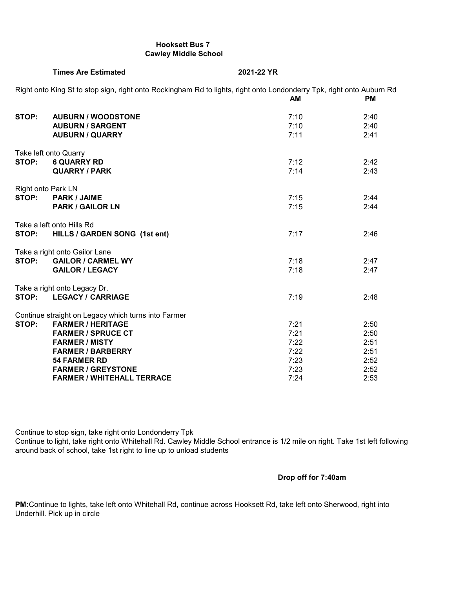### **Hooksett Bus 7 Cawley Middle School**

**Times Are Estimated 2021-22 YR**

|       | Right onto King St to stop sign, right onto Rockingham Rd to lights, right onto Londonderry Tpk, right onto Auburn Rd | AM   | <b>PM</b> |
|-------|-----------------------------------------------------------------------------------------------------------------------|------|-----------|
| STOP: | <b>AUBURN / WOODSTONE</b>                                                                                             | 7:10 | 2:40      |
|       | <b>AUBURN / SARGENT</b>                                                                                               | 7:10 | 2:40      |
|       | <b>AUBURN / QUARRY</b>                                                                                                | 7:11 | 2:41      |
|       | Take left onto Quarry                                                                                                 |      |           |
| STOP: | <b>6 QUARRY RD</b>                                                                                                    | 7:12 | 2:42      |
|       | <b>QUARRY / PARK</b>                                                                                                  | 7:14 | 2:43      |
|       | Right onto Park LN                                                                                                    |      |           |
| STOP: | <b>PARK / JAIME</b>                                                                                                   | 7:15 | 2:44      |
|       | <b>PARK / GAILOR LN</b>                                                                                               | 7:15 | 2:44      |
|       | Take a left onto Hills Rd                                                                                             |      |           |
| STOP: | HILLS / GARDEN SONG (1st ent)                                                                                         | 7:17 | 2:46      |
|       | Take a right onto Gailor Lane                                                                                         |      |           |
| STOP: | <b>GAILOR / CARMEL WY</b>                                                                                             | 7:18 | 2:47      |
|       | <b>GAILOR / LEGACY</b>                                                                                                | 7:18 | 2:47      |
|       | Take a right onto Legacy Dr.                                                                                          |      |           |
| STOP: | <b>LEGACY / CARRIAGE</b>                                                                                              | 7:19 | 2:48      |
|       | Continue straight on Legacy which turns into Farmer                                                                   |      |           |
| STOP: | <b>FARMER / HERITAGE</b>                                                                                              | 7:21 | 2:50      |
|       | <b>FARMER / SPRUCE CT</b>                                                                                             | 7:21 | 2:50      |
|       | <b>FARMER / MISTY</b>                                                                                                 | 7:22 | 2:51      |
|       | <b>FARMER / BARBERRY</b>                                                                                              | 7:22 | 2:51      |
|       | <b>54 FARMER RD</b>                                                                                                   | 7:23 | 2:52      |
|       | <b>FARMER / GREYSTONE</b>                                                                                             | 7:23 | 2:52      |
|       | <b>FARMER / WHITEHALL TERRACE</b>                                                                                     | 7:24 | 2:53      |

Continue to stop sign, take right onto Londonderry Tpk

Continue to light, take right onto Whitehall Rd. Cawley Middle School entrance is 1/2 mile on right. Take 1st left following around back of school, take 1st right to line up to unload students

## **Drop off for 7:40am**

**PM:**Continue to lights, take left onto Whitehall Rd, continue across Hooksett Rd, take left onto Sherwood, right into Underhill. Pick up in circle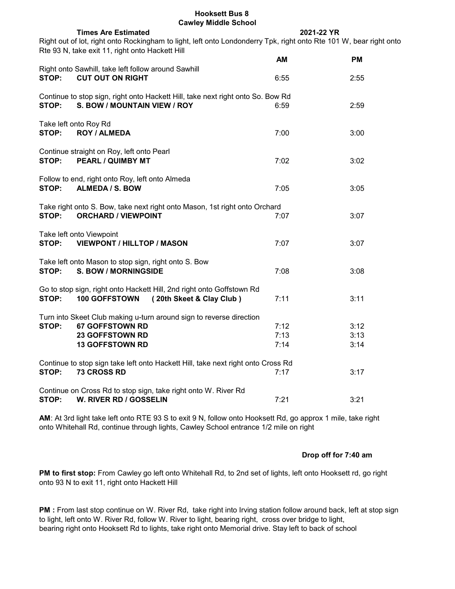#### **Hooksett Bus 8 Cawley Middle School**

|                                                                | <b>Cawley Mildule Scribol</b>                                                                                                                                         |            |      |
|----------------------------------------------------------------|-----------------------------------------------------------------------------------------------------------------------------------------------------------------------|------------|------|
|                                                                | <b>Times Are Estimated</b>                                                                                                                                            | 2021-22 YR |      |
|                                                                | Right out of lot, right onto Rockingham to light, left onto Londonderry Tpk, right onto Rte 101 W, bear right onto<br>Rte 93 N, take exit 11, right onto Hackett Hill |            |      |
|                                                                |                                                                                                                                                                       | AM         | PM   |
| STOP:                                                          | Right onto Sawhill, take left follow around Sawhill<br><b>CUT OUT ON RIGHT</b>                                                                                        | 6:55       | 2:55 |
|                                                                |                                                                                                                                                                       |            |      |
| STOP:                                                          | Continue to stop sign, right onto Hackett Hill, take next right onto So. Bow Rd<br>S. BOW / MOUNTAIN VIEW / ROY                                                       | 6:59       | 2:59 |
|                                                                | Take left onto Roy Rd                                                                                                                                                 |            |      |
| STOP:                                                          | <b>ROY / ALMEDA</b>                                                                                                                                                   | 7:00       | 3:00 |
|                                                                | Continue straight on Roy, left onto Pearl                                                                                                                             |            |      |
| STOP:                                                          | <b>PEARL / QUIMBY MT</b>                                                                                                                                              | 7:02       | 3:02 |
|                                                                |                                                                                                                                                                       |            |      |
|                                                                | Follow to end, right onto Roy, left onto Almeda                                                                                                                       |            |      |
| STOP:                                                          | ALMEDA / S. BOW                                                                                                                                                       | 7:05       | 3:05 |
|                                                                |                                                                                                                                                                       |            |      |
| STOP:                                                          | Take right onto S. Bow, take next right onto Mason, 1st right onto Orchard<br><b>ORCHARD / VIEWPOINT</b>                                                              | 7:07       | 3:07 |
|                                                                |                                                                                                                                                                       |            |      |
|                                                                | Take left onto Viewpoint                                                                                                                                              |            |      |
| STOP:                                                          | <b>VIEWPONT / HILLTOP / MASON</b>                                                                                                                                     | 7:07       | 3:07 |
|                                                                |                                                                                                                                                                       |            |      |
|                                                                | Take left onto Mason to stop sign, right onto S. Bow                                                                                                                  |            |      |
| STOP:                                                          | <b>S. BOW / MORNINGSIDE</b>                                                                                                                                           | 7:08       | 3:08 |
|                                                                |                                                                                                                                                                       |            |      |
|                                                                | Go to stop sign, right onto Hackett Hill, 2nd right onto Goffstown Rd                                                                                                 |            |      |
| STOP:                                                          | (20th Skeet & Clay Club)<br>100 GOFFSTOWN                                                                                                                             | 7:11       | 3:11 |
|                                                                |                                                                                                                                                                       |            |      |
|                                                                | Turn into Skeet Club making u-turn around sign to reverse direction                                                                                                   |            |      |
| STOP:                                                          | <b>67 GOFFSTOWN RD</b>                                                                                                                                                | 7:12       | 3:12 |
|                                                                | <b>23 GOFFSTOWN RD</b>                                                                                                                                                | 7:13       | 3:13 |
|                                                                | <b>13 GOFFSTOWN RD</b>                                                                                                                                                | 7:14       | 3:14 |
|                                                                |                                                                                                                                                                       |            |      |
| STOP:                                                          | Continue to stop sign take left onto Hackett Hill, take next right onto Cross Rd<br>73 CROSS RD                                                                       | 7:17       | 3:17 |
|                                                                |                                                                                                                                                                       |            |      |
| Continue on Cross Rd to stop sign, take right onto W. River Rd |                                                                                                                                                                       |            |      |
| STOP:                                                          | W. RIVER RD / GOSSELIN                                                                                                                                                | 7:21       | 3:21 |
|                                                                |                                                                                                                                                                       |            |      |

**AM**: At 3rd light take left onto RTE 93 S to exit 9 N, follow onto Hooksett Rd, go approx 1 mile, take right onto Whitehall Rd, continue through lights, Cawley School entrance 1/2 mile on right

## **Drop off for 7:40 am**

**PM to first stop:** From Cawley go left onto Whitehall Rd, to 2nd set of lights, left onto Hooksett rd, go right onto 93 N to exit 11, right onto Hackett Hill

**PM :** From last stop continue on W. River Rd, take right into Irving station follow around back, left at stop sign to light, left onto W. River Rd, follow W. River to light, bearing right, cross over bridge to light, bearing right onto Hooksett Rd to lights, take right onto Memorial drive. Stay left to back of school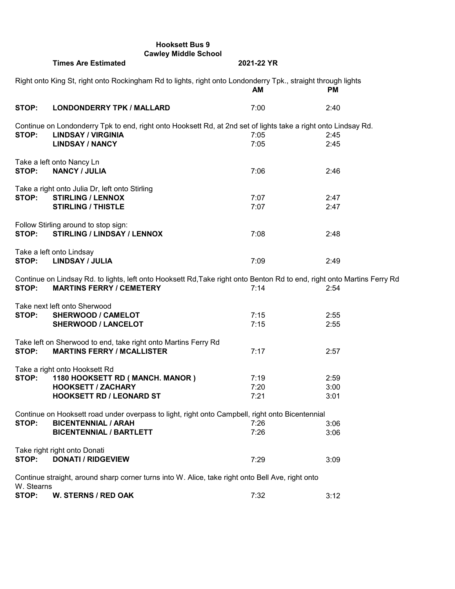|            | <b>Hooksett Bus 9</b><br><b>Cawley Middle School</b>                                                                    |            |           |  |
|------------|-------------------------------------------------------------------------------------------------------------------------|------------|-----------|--|
|            | <b>Times Are Estimated</b>                                                                                              | 2021-22 YR |           |  |
|            | Right onto King St, right onto Rockingham Rd to lights, right onto Londonderry Tpk., straight through lights            |            |           |  |
|            |                                                                                                                         | АM         | <b>PM</b> |  |
| STOP:      | <b>LONDONDERRY TPK / MALLARD</b>                                                                                        | 7:00       | 2:40      |  |
|            | Continue on Londonderry Tpk to end, right onto Hooksett Rd, at 2nd set of lights take a right onto Lindsay Rd.          |            |           |  |
| STOP:      | <b>LINDSAY / VIRGINIA</b>                                                                                               | 7:05       | 2:45      |  |
|            | <b>LINDSAY / NANCY</b>                                                                                                  | 7:05       | 2:45      |  |
|            | Take a left onto Nancy Ln                                                                                               |            |           |  |
| STOP:      | <b>NANCY / JULIA</b>                                                                                                    | 7:06       | 2:46      |  |
|            | Take a right onto Julia Dr, left onto Stirling                                                                          |            |           |  |
| STOP:      | <b>STIRLING / LENNOX</b>                                                                                                | 7:07       | 2:47      |  |
|            | <b>STIRLING / THISTLE</b>                                                                                               | 7:07       | 2:47      |  |
|            | Follow Stirling around to stop sign:                                                                                    |            |           |  |
| STOP:      | <b>STIRLING / LINDSAY / LENNOX</b>                                                                                      | 7:08       | 2:48      |  |
|            | Take a left onto Lindsay                                                                                                |            |           |  |
| STOP:      | <b>LINDSAY / JULIA</b>                                                                                                  | 7:09       | 2:49      |  |
|            | Continue on Lindsay Rd. to lights, left onto Hooksett Rd, Take right onto Benton Rd to end, right onto Martins Ferry Rd |            |           |  |
| STOP:      | <b>MARTINS FERRY / CEMETERY</b>                                                                                         | 7:14       | 2:54      |  |
|            | Take next left onto Sherwood                                                                                            |            |           |  |
| STOP:      | <b>SHERWOOD / CAMELOT</b>                                                                                               | 7:15       | 2:55      |  |
|            | <b>SHERWOOD / LANCELOT</b>                                                                                              | 7:15       | 2:55      |  |
|            | Take left on Sherwood to end, take right onto Martins Ferry Rd                                                          |            |           |  |
| STOP:      | <b>MARTINS FERRY / MCALLISTER</b>                                                                                       | 7:17       | 2:57      |  |
|            | Take a right onto Hooksett Rd                                                                                           |            |           |  |
| STOP:      | 1180 HOOKSETT RD (MANCH. MANOR)                                                                                         | 7:19       | 2:59      |  |
|            | <b>HOOKSETT / ZACHARY</b>                                                                                               | 7:20       | 3:00      |  |
|            | <b>HOOKSETT RD / LEONARD ST</b>                                                                                         | 7:21       | 3:01      |  |
|            | Continue on Hooksett road under overpass to light, right onto Campbell, right onto Bicentennial                         |            |           |  |
| STOP:      | <b>BICENTENNIAL / ARAH</b>                                                                                              | 7:26       | 3:06      |  |
|            | <b>BICENTENNIAL / BARTLETT</b>                                                                                          | 7:26       | 3:06      |  |
|            | Take right right onto Donati                                                                                            |            |           |  |
| STOP:      | <b>DONATI / RIDGEVIEW</b>                                                                                               | 7:29       | 3:09      |  |
| W. Stearns | Continue straight, around sharp corner turns into W. Alice, take right onto Bell Ave, right onto                        |            |           |  |
| STOP:      | <b>W. STERNS / RED OAK</b>                                                                                              | 7:32       | 3:12      |  |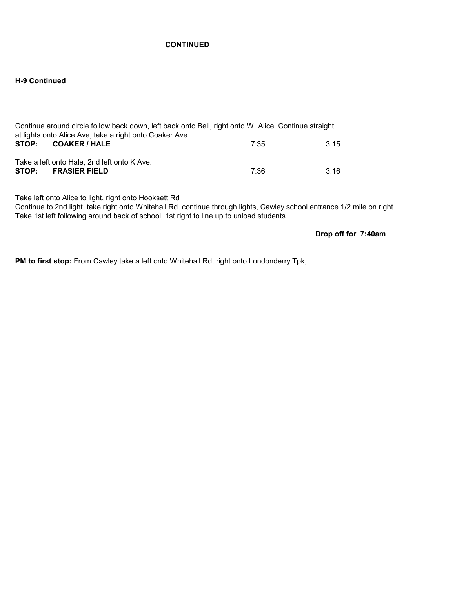## **CONTINUED**

## **H-9 Continued**

| Continue around circle follow back down, left back onto Bell, right onto W. Alice. Continue straight<br>at lights onto Alice Ave, take a right onto Coaker Ave. |      |  |  |
|-----------------------------------------------------------------------------------------------------------------------------------------------------------------|------|--|--|
|                                                                                                                                                                 |      |  |  |
| 7:35                                                                                                                                                            | 3:15 |  |  |
|                                                                                                                                                                 |      |  |  |
|                                                                                                                                                                 |      |  |  |
| 7:36                                                                                                                                                            | 3:16 |  |  |
|                                                                                                                                                                 |      |  |  |

Take left onto Alice to light, right onto Hooksett Rd

Continue to 2nd light, take right onto Whitehall Rd, continue through lights, Cawley school entrance 1/2 mile on right. Take 1st left following around back of school, 1st right to line up to unload students

**Drop off for 7:40am**

**PM to first stop:** From Cawley take a left onto Whitehall Rd, right onto Londonderry Tpk,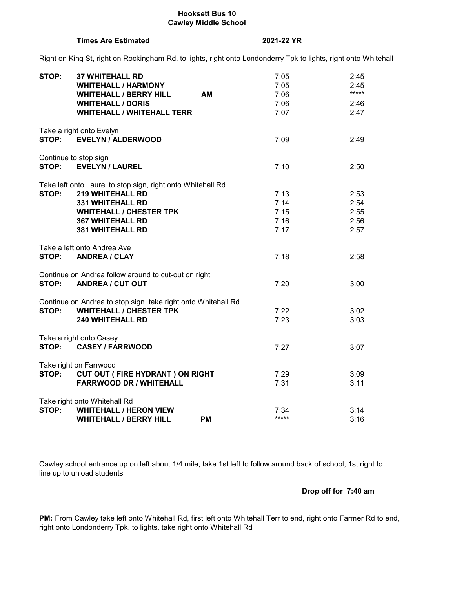### **Hooksett Bus 10 Cawley Middle School**

#### **Times Are Estimated 2021-22 YR**

Right on King St, right on Rockingham Rd. to lights, right onto Londonderry Tpk to lights, right onto Whitehall

| STOP: | <b>37 WHITEHALL RD</b>                                        | 7:05   | 2:45  |
|-------|---------------------------------------------------------------|--------|-------|
|       | <b>WHITEHALL / HARMONY</b>                                    | 7:05   | 2:45  |
|       | <b>AM</b><br><b>WHITEHALL / BERRY HILL</b>                    | 7:06   | ***** |
|       | <b>WHITEHALL / DORIS</b>                                      | 7:06   | 2:46  |
|       | <b>WHITEHALL / WHITEHALL TERR</b>                             | 7:07   | 2:47  |
|       | Take a right onto Evelyn                                      |        |       |
| STOP: | <b>EVELYN / ALDERWOOD</b>                                     | 7:09   | 2:49  |
|       | Continue to stop sign                                         |        |       |
| STOP: | <b>EVELYN / LAUREL</b>                                        | 7:10   | 2:50  |
|       | Take left onto Laurel to stop sign, right onto Whitehall Rd   |        |       |
| STOP: | <b>219 WHITEHALL RD</b>                                       | 7:13   | 2:53  |
|       | <b>331 WHITEHALL RD</b>                                       | 7:14   | 2:54  |
|       | <b>WHITEHALL / CHESTER TPK</b>                                | 7:15   | 2:55  |
|       | <b>367 WHITEHALL RD</b>                                       | 7:16   | 2:56  |
|       | <b>381 WHITEHALL RD</b>                                       | 7:17   | 2:57  |
|       | Take a left onto Andrea Ave                                   |        |       |
| STOP: | <b>ANDREA / CLAY</b>                                          | 7:18   | 2:58  |
|       | Continue on Andrea follow around to cut-out on right          |        |       |
| STOP: | <b>ANDREA / CUT OUT</b>                                       | 7:20   | 3:00  |
|       | Continue on Andrea to stop sign, take right onto Whitehall Rd |        |       |
| STOP: | <b>WHITEHALL / CHESTER TPK</b>                                | 7:22   | 3:02  |
|       | <b>240 WHITEHALL RD</b>                                       | 7:23   | 3:03  |
|       | Take a right onto Casey                                       |        |       |
| STOP: | <b>CASEY / FARRWOOD</b>                                       | 7:27   | 3:07  |
|       | Take right on Farrwood                                        |        |       |
|       | STOP: CUT OUT (FIRE HYDRANT) ON RIGHT                         | 7:29   | 3:09  |
|       | <b>FARRWOOD DR / WHITEHALL</b>                                | 7:31   | 3:11  |
|       | Take right onto Whitehall Rd                                  |        |       |
| STOP: | <b>WHITEHALL / HERON VIEW</b>                                 | 7:34   | 3:14  |
|       | <b>WHITEHALL / BERRY HILL</b><br><b>PM</b>                    | $****$ | 3:16  |

Cawley school entrance up on left about 1/4 mile, take 1st left to follow around back of school, 1st right to line up to unload students

## **Drop off for 7:40 am**

**PM:** From Cawley take left onto Whitehall Rd, first left onto Whitehall Terr to end, right onto Farmer Rd to end, right onto Londonderry Tpk. to lights, take right onto Whitehall Rd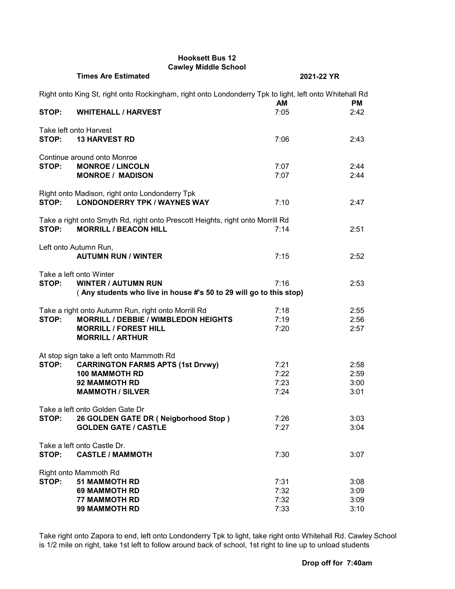## **Hooksett Bus 12 Cawley Middle School**

|       | <b>Times Are Estimated</b>                                                                             | 2021-22 YR        |                   |
|-------|--------------------------------------------------------------------------------------------------------|-------------------|-------------------|
|       | Right onto King St, right onto Rockingham, right onto Londonderry Tpk to light, left onto Whitehall Rd |                   |                   |
| STOP: | <b>WHITEHALL / HARVEST</b>                                                                             | <b>AM</b><br>7:05 | <b>PM</b><br>2:42 |
|       |                                                                                                        |                   |                   |
| STOP: | Take left onto Harvest<br><b>13 HARVEST RD</b>                                                         | 7:06              | 2:43              |
|       | Continue around onto Monroe                                                                            |                   |                   |
| STOP: | <b>MONROE / LINCOLN</b>                                                                                | 7:07              | 2:44              |
|       | <b>MONROE / MADISON</b>                                                                                | 7:07              | 2:44              |
|       | Right onto Madison, right onto Londonderry Tpk                                                         |                   |                   |
| STOP: | <b>LONDONDERRY TPK / WAYNES WAY</b>                                                                    | 7:10              | 2:47              |
|       | Take a right onto Smyth Rd, right onto Prescott Heights, right onto Morrill Rd                         |                   |                   |
| STOP: | <b>MORRILL / BEACON HILL</b>                                                                           | 7:14              | 2:51              |
|       |                                                                                                        |                   |                   |
|       | Left onto Autumn Run,                                                                                  |                   |                   |
|       | <b>AUTUMN RUN / WINTER</b>                                                                             | 7:15              | 2:52              |
|       | Take a left onto Winter                                                                                |                   |                   |
| STOP: | <b>WINTER / AUTUMN RUN</b>                                                                             | 7:16              | 2:53              |
|       | (Any students who live in house #'s 50 to 29 will go to this stop)                                     |                   |                   |
|       | Take a right onto Autumn Run, right onto Morrill Rd                                                    | 7:18              | 2:55              |
| STOP: | <b>MORRILL / DEBBIE / WIMBLEDON HEIGHTS</b>                                                            | 7:19              | 2:56              |
|       | <b>MORRILL / FOREST HILL</b>                                                                           | 7:20              | 2:57              |
|       | <b>MORRILL / ARTHUR</b>                                                                                |                   |                   |
|       | At stop sign take a left onto Mammoth Rd                                                               |                   |                   |
| STOP: | <b>CARRINGTON FARMS APTS (1st Drvwy)</b>                                                               | 7:21              | 2:58              |
|       | <b>100 MAMMOTH RD</b>                                                                                  | 7:22              | 2:59              |
|       | <b>92 MAMMOTH RD</b>                                                                                   | 7:23              | 3:00              |
|       | <b>MAMMOTH / SILVER</b>                                                                                | 7:24              | 3:01              |
|       | Take a left onto Golden Gate Dr                                                                        |                   |                   |
| STOP: | 26 GOLDEN GATE DR (Neigborhood Stop)                                                                   | 7:26              | 3:03              |
|       | <b>GOLDEN GATE / CASTLE</b>                                                                            | 7:27              | 3:04              |
|       | Take a left onto Castle Dr.                                                                            |                   |                   |
| STOP: | <b>CASTLE / MAMMOTH</b>                                                                                | 7:30              | 3:07              |
|       |                                                                                                        |                   |                   |
| STOP: | Right onto Mammoth Rd<br><b>51 MAMMOTH RD</b>                                                          | 7:31              | 3:08              |
|       | <b>69 MAMMOTH RD</b>                                                                                   | 7:32              | 3:09              |
|       | <b>77 MAMMOTH RD</b>                                                                                   | 7:32              | 3:09              |
|       | <b>99 MAMMOTH RD</b>                                                                                   | 7:33              | 3:10              |

Take right onto Zapora to end, left onto Londonderry Tpk to light, take right onto Whitehall Rd. Cawley School is 1/2 mile on right, take 1st left to follow around back of school, 1st right to line up to unload students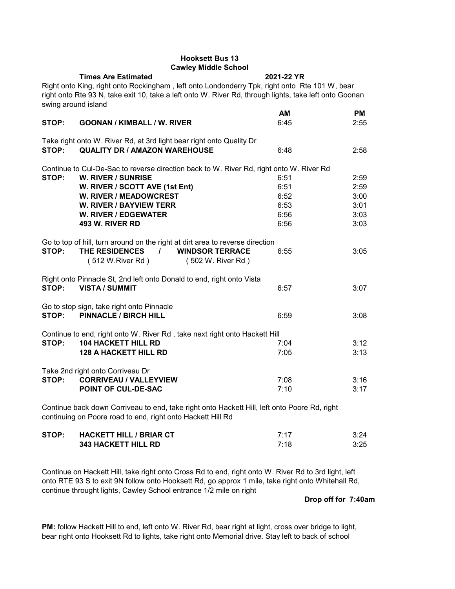## **Hooksett Bus 13 Cawley Middle School**

**Times Are Estimated 2021-22 YR** Right onto King, right onto Rockingham , left onto Londonderry Tpk, right onto Rte 101 W, bear right onto Rte 93 N, take exit 10, take a left onto W. River Rd, through lights, take left onto Goonan swing around island **AM PM STOP: GOONAN / KIMBALL / W. RIVER** 6:45 6:45 2:55 Take right onto W. River Rd, at 3rd light bear right onto Quality Dr<br>STOP: OUALITY DR / AMAZON WAREHOUSE **STOP: QUALITY DR / AMAZON WAREHOUSE** 6:48 2:58 Continue to Cul-De-Sac to reverse direction back to W. River Rd, right onto W. River Rd<br>STOP: W. RIVER / SUNRISE **W. RIVER / SUNRISE** 6:51 6:51 2:59<br> **W. RIVER / SCOTT AVE (1st Ent)** 6:51 6:51 2:59 **W. RIVER / SCOTT AVE (1st Ent) W. RIVER / MEADOWCREST** 6:52 3:00 **W. RIVER / BAYVIEW TERR** 6:53 **W. RIVER / EDGEWATER** 6:56 6:56 3:03 **493 W. RIVER RD** 6:56 3:03 Go to top of hill, turn around on the right at dirt area to reverse direction **STOP: THE RESIDENCES / WINDSOR TERRACE** 6:55 3:05<br>(512 W.River Rd) (502 W. River Rd)  $(512 W.River Rd)$ Right onto Pinnacle St, 2nd left onto Donald to end, right onto Vista **STOP: VISTA / SUMMIT** 6:57 3:07 Go to stop sign, take right onto Pinnacle **STOP: PINNACLE / BIRCH HILL** 6:59 3:08 Continue to end, right onto W. River Rd , take next right onto Hackett Hill **STOP: 104 HACKETT HILL RD** 7:04 7:04 3:12 **128 A HACKETT HILL RD 7:05 3:13** Take 2nd right onto Corriveau Dr **STOP: CORRIVEAU / VALLEYVIEW 7:08 7:08 3:16 POINT OF CUL-DE-SAC** 7:10 **3:17** Continue back down Corriveau to end, take right onto Hackett Hill, left onto Poore Rd, right continuing on Poore road to end, right onto Hackett Hill Rd

| STOP: HACKETT HILL / BRIAR CT | 7.17 | 3:24 |
|-------------------------------|------|------|
| <b>343 HACKETT HILL RD</b>    | 7:18 | 3:25 |

Continue on Hackett Hill, take right onto Cross Rd to end, right onto W. River Rd to 3rd light, left onto RTE 93 S to exit 9N follow onto Hooksett Rd, go approx 1 mile, take right onto Whitehall Rd, continue throught lights, Cawley School entrance 1/2 mile on right

### **Drop off for 7:40am**

**PM:** follow Hackett Hill to end, left onto W. River Rd, bear right at light, cross over bridge to light, bear right onto Hooksett Rd to lights, take right onto Memorial drive. Stay left to back of school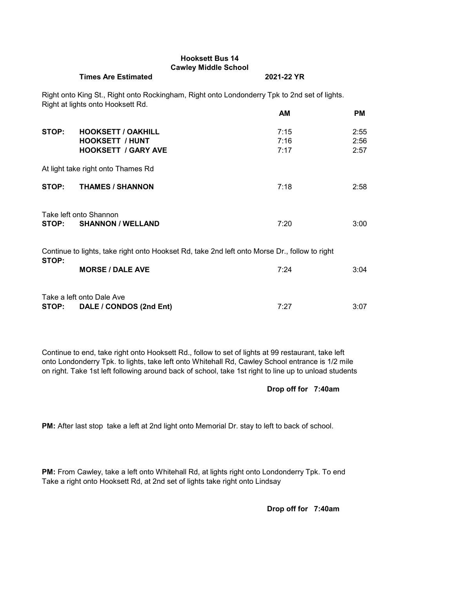# **Hooksett Bus 14 Cawley Middle School**

#### **Times Are Estimated 2021-22 YR**

Right onto King St., Right onto Rockingham, Right onto Londonderry Tpk to 2nd set of lights. Right at lights onto Hooksett Rd.

|       |                                                                                               | АM           | PM.          |
|-------|-----------------------------------------------------------------------------------------------|--------------|--------------|
| STOP: | <b>HOOKSETT / OAKHILL</b>                                                                     | 7:15         | 2:55         |
|       | <b>HOOKSETT / HUNT</b><br><b>HOOKSETT / GARY AVE</b>                                          | 7:16<br>7:17 | 2:56<br>2:57 |
|       |                                                                                               |              |              |
|       | At light take right onto Thames Rd                                                            |              |              |
| STOP: | <b>THAMES / SHANNON</b>                                                                       | 7:18         | 2:58         |
|       |                                                                                               |              |              |
|       | Take left onto Shannon                                                                        |              |              |
| STOP: | <b>SHANNON / WELLAND</b>                                                                      | 7:20         | 3:00         |
|       | Continue to lights, take right onto Hookset Rd, take 2nd left onto Morse Dr., follow to right |              |              |
| STOP: |                                                                                               |              |              |
|       | <b>MORSE / DALE AVE</b>                                                                       | 7:24         | 3:04         |
|       |                                                                                               |              |              |
|       | Take a left onto Dale Ave                                                                     |              |              |
| STOP: | DALE / CONDOS (2nd Ent)                                                                       | 7:27         | 3:07         |

Continue to end, take right onto Hooksett Rd., follow to set of lights at 99 restaurant, take left onto Londonderry Tpk. to lights, take left onto Whitehall Rd, Cawley School entrance is 1/2 mile on right. Take 1st left following around back of school, take 1st right to line up to unload students

## **Drop off for 7:40am**

**PM:** After last stop take a left at 2nd light onto Memorial Dr. stay to left to back of school.

**PM:** From Cawley, take a left onto Whitehall Rd, at lights right onto Londonderry Tpk. To end Take a right onto Hooksett Rd, at 2nd set of lights take right onto Lindsay

**Drop off for 7:40am**